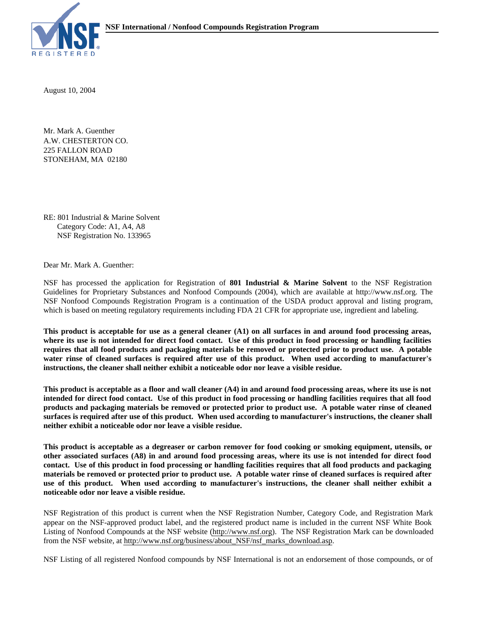

August 10, 2004

A.W. CHESTERTON CO. Mr. Mark A. Guenther 225 FALLON ROAD STONEHAM, MA 02180

RE: 801 Industrial & Marine Solvent Category Code: A1, A4, A8 NSF Registration No. 133965

Dear Mr. Mark A. Guenther:

NSF has processed the application for Registration of **801 Industrial & Marine Solvent** to the NSF Registration Guidelines for Proprietary Substances and Nonfood Compounds (2004), which are available at http://www.nsf.org. The NSF Nonfood Compounds Registration Program is a continuation of the USDA product approval and listing program, which is based on meeting regulatory requirements including FDA 21 CFR for appropriate use, ingredient and labeling.

**This product is acceptable for use as a general cleaner (A1) on all surfaces in and around food processing areas, where its use is not intended for direct food contact. Use of this product in food processing or handling facilities requires that all food products and packaging materials be removed or protected prior to product use. A potable water rinse of cleaned surfaces is required after use of this product. When used according to manufacturer's instructions, the cleaner shall neither exhibit a noticeable odor nor leave a visible residue.**

**This product is acceptable as a floor and wall cleaner (A4) in and around food processing areas, where its use is not intended for direct food contact. Use of this product in food processing or handling facilities requires that all food products and packaging materials be removed or protected prior to product use. A potable water rinse of cleaned surfaces is required after use of this product. When used according to manufacturer's instructions, the cleaner shall neither exhibit a noticeable odor nor leave a visible residue.**

**This product is acceptable as a degreaser or carbon remover for food cooking or smoking equipment, utensils, or other associated surfaces (A8) in and around food processing areas, where its use is not intended for direct food contact. Use of this product in food processing or handling facilities requires that all food products and packaging materials be removed or protected prior to product use. A potable water rinse of cleaned surfaces is required after use of this product. When used according to manufacturer's instructions, the cleaner shall neither exhibit a noticeable odor nor leave a visible residue.**

NSF Registration of this product is current when the NSF Registration Number, Category Code, and Registration Mark appear on the NSF-approved product label, and the registered product name is included in the current NSF White Book Listing of Nonfood Compounds at the NSF website (http://www.nsf.org). The NSF Registration Mark can be downloaded from the NSF website, at http://www.nsf.org/business/about\_NSF/nsf\_marks\_download.asp.

NSF Listing of all registered Nonfood compounds by NSF International is not an endorsement of those compounds, or of